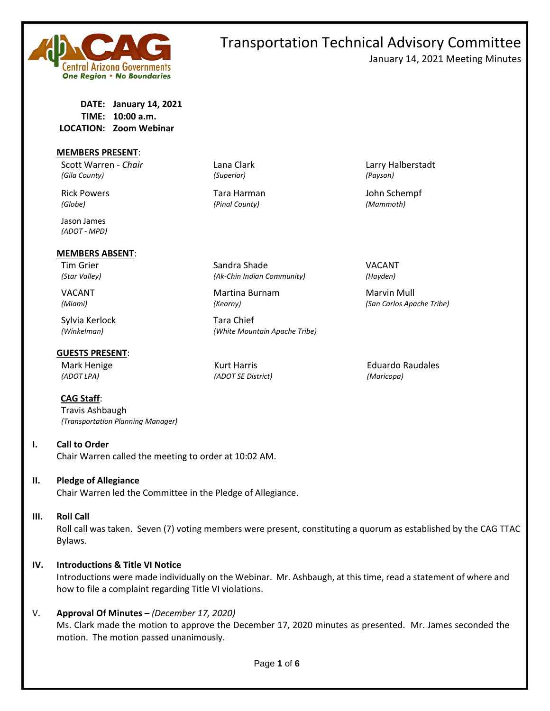

# **DATE: January 14, 2021 TIME: 10:00 a.m. LOCATION: Zoom Webinar**

#### **MEMBERS PRESENT**:

Scott Warren - *Chair* Lana Clark Larry Halberstadt *(Gila County) (Superior) (Payson)*

Jason James *(ADOT - MPD)*

#### **MEMBERS ABSENT**:

Sylvia Kerlock Tara Chief

#### **GUESTS PRESENT**:

**CAG Staff**:

Travis Ashbaugh *(Transportation Planning Manager)*

# **I. Call to Order**

Chair Warren called the meeting to order at 10:02 AM.

# **II. Pledge of Allegiance**

Chair Warren led the Committee in the Pledge of Allegiance.

#### **III. Roll Call**

Roll call was taken. Seven (7) voting members were present, constituting a quorum as established by the CAG TTAC Bylaws.

# **IV. Introductions & Title VI Notice**

Introductions were made individually on the Webinar. Mr. Ashbaugh, at this time, read a statement of where and how to file a complaint regarding Title VI violations.

# V. **Approval Of Minutes –** *(December 17, 2020)*

Ms. Clark made the motion to approve the December 17, 2020 minutes as presented. Mr. James seconded the motion. The motion passed unanimously.

*(Globe) (Pinal County) (Mammoth)*

Tim Grier National Sandra Shade National Structure of the VACANT *(Star Valley) (Ak-Chin Indian Community) (Hayden)*

VACANT **Martina Burnam Marting Marting Marting Martin** Marvin Mull

*(Winkelman) (White Mountain Apache Tribe)*

*(ADOT LPA) (ADOT SE District) (Maricopa)*

Rick Powers Tara Harman John Schempf

*(Miami) (Kearny) (San Carlos Apache Tribe)*

Mark Henige Kurt Harris Eduardo Raudales

Transportation Technical Advisory Committee

January 14, 2021 Meeting Minutes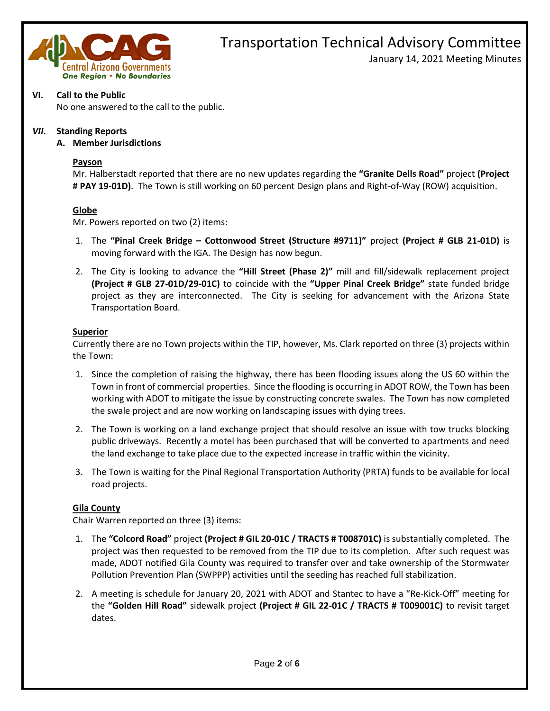

January 14, 2021 Meeting Minutes

# **VI. Call to the Public**

No one answered to the call to the public.

# *VII.* **Standing Reports**

#### **A. Member Jurisdictions**

#### **Payson**

Mr. Halberstadt reported that there are no new updates regarding the **"Granite Dells Road"** project **(Project # PAY 19-01D)**. The Town is still working on 60 percent Design plans and Right-of-Way (ROW) acquisition.

# **Globe**

Mr. Powers reported on two (2) items:

- 1. The **"Pinal Creek Bridge – Cottonwood Street (Structure #9711)"** project **(Project # GLB 21-01D)** is moving forward with the IGA. The Design has now begun.
- 2. The City is looking to advance the **"Hill Street (Phase 2)"** mill and fill/sidewalk replacement project **(Project # GLB 27-01D/29-01C)** to coincide with the **"Upper Pinal Creek Bridge"** state funded bridge project as they are interconnected. The City is seeking for advancement with the Arizona State Transportation Board.

#### **Superior**

Currently there are no Town projects within the TIP, however, Ms. Clark reported on three (3) projects within the Town:

- 1. Since the completion of raising the highway, there has been flooding issues along the US 60 within the Town in front of commercial properties. Since the flooding is occurring in ADOT ROW, the Town has been working with ADOT to mitigate the issue by constructing concrete swales. The Town has now completed the swale project and are now working on landscaping issues with dying trees.
- 2. The Town is working on a land exchange project that should resolve an issue with tow trucks blocking public driveways. Recently a motel has been purchased that will be converted to apartments and need the land exchange to take place due to the expected increase in traffic within the vicinity.
- 3. The Town is waiting for the Pinal Regional Transportation Authority (PRTA) funds to be available for local road projects.

# **Gila County**

Chair Warren reported on three (3) items:

- 1. The **"Colcord Road"** project **(Project # GIL 20-01C / TRACTS # T008701C)** is substantially completed. The project was then requested to be removed from the TIP due to its completion. After such request was made, ADOT notified Gila County was required to transfer over and take ownership of the Stormwater Pollution Prevention Plan (SWPPP) activities until the seeding has reached full stabilization.
- 2. A meeting is schedule for January 20, 2021 with ADOT and Stantec to have a "Re-Kick-Off" meeting for the **"Golden Hill Road"** sidewalk project **(Project # GIL 22-01C / TRACTS # T009001C)** to revisit target dates.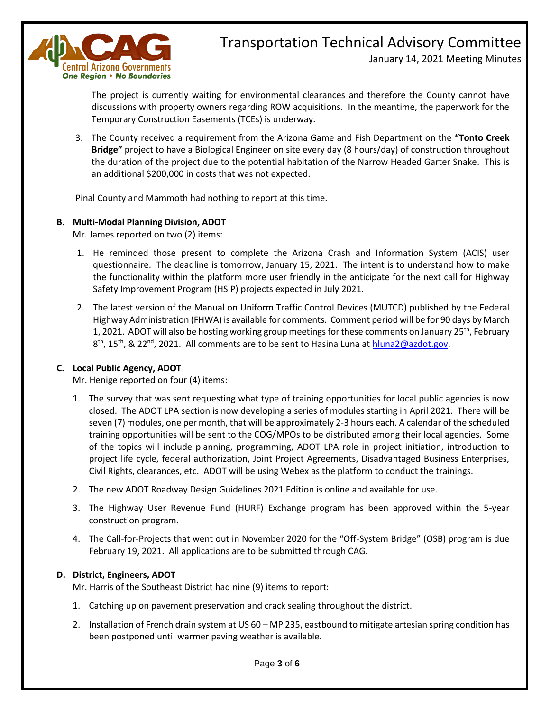

January 14, 2021 Meeting Minutes

The project is currently waiting for environmental clearances and therefore the County cannot have discussions with property owners regarding ROW acquisitions. In the meantime, the paperwork for the Temporary Construction Easements (TCEs) is underway.

3. The County received a requirement from the Arizona Game and Fish Department on the **"Tonto Creek Bridge"** project to have a Biological Engineer on site every day (8 hours/day) of construction throughout the duration of the project due to the potential habitation of the Narrow Headed Garter Snake. This is an additional \$200,000 in costs that was not expected.

Pinal County and Mammoth had nothing to report at this time.

# **B. Multi-Modal Planning Division, ADOT**

Mr. James reported on two (2) items:

- 1. He reminded those present to complete the Arizona Crash and Information System (ACIS) user questionnaire. The deadline is tomorrow, January 15, 2021. The intent is to understand how to make the functionality within the platform more user friendly in the anticipate for the next call for Highway Safety Improvement Program (HSIP) projects expected in July 2021.
- 2. The latest version of the Manual on Uniform Traffic Control Devices (MUTCD) published by the Federal Highway Administration (FHWA) is available for comments. Comment period will be for 90 days by March 1, 2021. ADOT will also be hosting working group meetings for these comments on January 25<sup>th</sup>, February 8<sup>th</sup>, 15<sup>th</sup>, & 22<sup>nd</sup>, 2021. All comments are to be sent to Hasina Luna at **hluna2@azdot.gov.**

# **C. Local Public Agency, ADOT**

Mr. Henige reported on four (4) items:

- 1. The survey that was sent requesting what type of training opportunities for local public agencies is now closed. The ADOT LPA section is now developing a series of modules starting in April 2021. There will be seven (7) modules, one per month, that will be approximately 2-3 hours each. A calendar of the scheduled training opportunities will be sent to the COG/MPOs to be distributed among their local agencies. Some of the topics will include planning, programming, ADOT LPA role in project initiation, introduction to project life cycle, federal authorization, Joint Project Agreements, Disadvantaged Business Enterprises, Civil Rights, clearances, etc. ADOT will be using Webex as the platform to conduct the trainings.
- 2. The new ADOT Roadway Design Guidelines 2021 Edition is online and available for use.
- 3. The Highway User Revenue Fund (HURF) Exchange program has been approved within the 5-year construction program.
- 4. The Call-for-Projects that went out in November 2020 for the "Off-System Bridge" (OSB) program is due February 19, 2021. All applications are to be submitted through CAG.

# **D. District, Engineers, ADOT**

Mr. Harris of the Southeast District had nine (9) items to report:

- 1. Catching up on pavement preservation and crack sealing throughout the district.
- 2. Installation of French drain system at US 60 MP 235, eastbound to mitigate artesian spring condition has been postponed until warmer paving weather is available.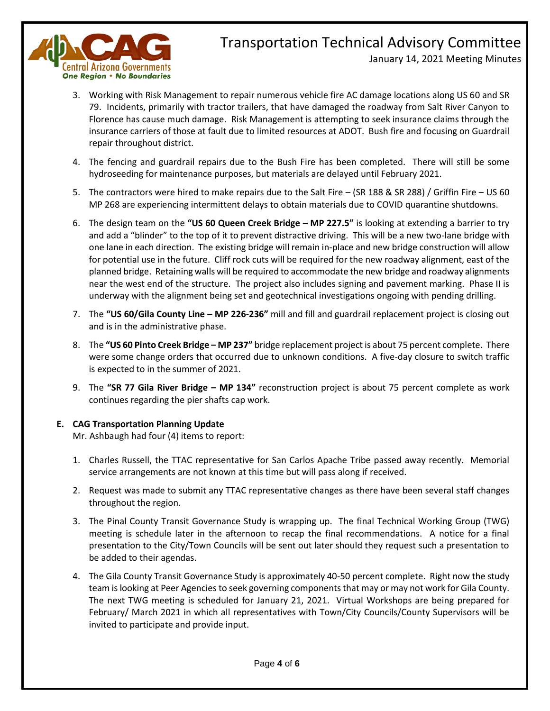

January 14, 2021 Meeting Minutes

- 3. Working with Risk Management to repair numerous vehicle fire AC damage locations along US 60 and SR 79. Incidents, primarily with tractor trailers, that have damaged the roadway from Salt River Canyon to Florence has cause much damage. Risk Management is attempting to seek insurance claims through the insurance carriers of those at fault due to limited resources at ADOT. Bush fire and focusing on Guardrail repair throughout district.
- 4. The fencing and guardrail repairs due to the Bush Fire has been completed. There will still be some hydroseeding for maintenance purposes, but materials are delayed until February 2021.
- 5. The contractors were hired to make repairs due to the Salt Fire (SR 188 & SR 288) / Griffin Fire US 60 MP 268 are experiencing intermittent delays to obtain materials due to COVID quarantine shutdowns.
- 6. The design team on the **"US 60 Queen Creek Bridge – MP 227.5"** is looking at extending a barrier to try and add a "blinder" to the top of it to prevent distractive driving. This will be a new two-lane bridge with one lane in each direction. The existing bridge will remain in-place and new bridge construction will allow for potential use in the future. Cliff rock cuts will be required for the new roadway alignment, east of the planned bridge. Retaining walls will be required to accommodate the new bridge and roadway alignments near the west end of the structure. The project also includes signing and pavement marking. Phase II is underway with the alignment being set and geotechnical investigations ongoing with pending drilling.
- 7. The **"US 60/Gila County Line – MP 226-236"** mill and fill and guardrail replacement project is closing out and is in the administrative phase.
- 8. The **"US 60 Pinto Creek Bridge – MP 237"** bridge replacement project is about 75 percent complete. There were some change orders that occurred due to unknown conditions. A five-day closure to switch traffic is expected to in the summer of 2021.
- 9. The **"SR 77 Gila River Bridge – MP 134"** reconstruction project is about 75 percent complete as work continues regarding the pier shafts cap work.

# **E. CAG Transportation Planning Update**

Mr. Ashbaugh had four (4) items to report:

- 1. Charles Russell, the TTAC representative for San Carlos Apache Tribe passed away recently. Memorial service arrangements are not known at this time but will pass along if received.
- 2. Request was made to submit any TTAC representative changes as there have been several staff changes throughout the region.
- 3. The Pinal County Transit Governance Study is wrapping up. The final Technical Working Group (TWG) meeting is schedule later in the afternoon to recap the final recommendations. A notice for a final presentation to the City/Town Councils will be sent out later should they request such a presentation to be added to their agendas.
- 4. The Gila County Transit Governance Study is approximately 40-50 percent complete. Right now the study team is looking at Peer Agencies to seek governing components that may or may not work for Gila County. The next TWG meeting is scheduled for January 21, 2021. Virtual Workshops are being prepared for February/ March 2021 in which all representatives with Town/City Councils/County Supervisors will be invited to participate and provide input.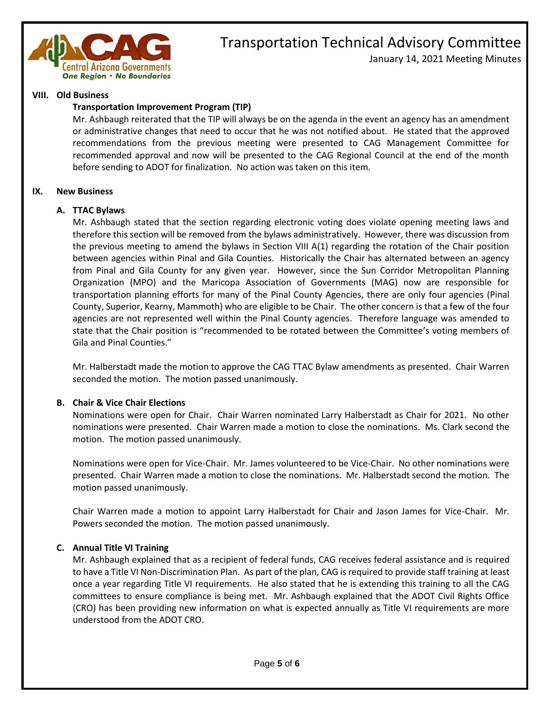

January 14, 2021 Meeting Minutes

#### **VIII. Old Business**

#### **Transportation Improvement Program (TIP)**

Mr. Ashbaugh reiterated that the TIP will always be on the agenda in the event an agency has an amendment or administrative changes that need to occur that he was not notified about. He stated that the approved recommendations from the previous meeting were presented to CAG Management Committee for recommended approval and now will be presented to the CAG Regional Council at the end of the month before sending to ADOT for finalization. No action was taken on this item.

#### **IX. New Business**

#### **A. TTAC Bylaws**

Mr. Ashbaugh stated that the section regarding electronic voting does violate opening meeting laws and therefore this section will be removed from the bylaws administratively. However, there was discussion from the previous meeting to amend the bylaws in Section VIII A(1) regarding the rotation of the Chair position between agencies within Pinal and Gila Counties. Historically the Chair has alternated between an agency from Pinal and Gila County for any given year. However, since the Sun Corridor Metropolitan Planning Organization (MPO) and the Maricopa Association of Governments (MAG) now are responsible for transportation planning efforts for many of the Pinal County Agencies, there are only four agencies (Pinal County, Superior, Kearny, Mammoth) who are eligible to be Chair. The other concern is that a few of the four agencies are not represented well within the Pinal County agencies. Therefore language was amended to state that the Chair position is "recommended to be rotated between the Committee's voting members of Gila and Pinal Counties."

Mr. Halberstadt made the motion to approve the CAG TTAC Bylaw amendments as presented. Chair Warren seconded the motion. The motion passed unanimously.

# **B. Chair & Vice Chair Elections**

Nominations were open for Chair. Chair Warren nominated Larry Halberstadt as Chair for 2021. No other nominations were presented. Chair Warren made a motion to close the nominations. Ms. Clark second the motion. The motion passed unanimously.

Nominations were open for Vice-Chair. Mr. James volunteered to be Vice-Chair. No other nominations were presented. Chair Warren made a motion to close the nominations. Mr. Halberstadt second the motion. The motion passed unanimously.

Chair Warren made a motion to appoint Larry Halberstadt for Chair and Jason James for Vice-Chair. Mr. Powers seconded the motion. The motion passed unanimously.

# **C. Annual Title VI Training**

Mr. Ashbaugh explained that as a recipient of federal funds, CAG receives federal assistance and is required to have a Title VI Non-Discrimination Plan. As part of the plan, CAG is required to provide staff training at least once a year regarding Title VI requirements. He also stated that he is extending this training to all the CAG committees to ensure compliance is being met. Mr. Ashbaugh explained that the ADOT Civil Rights Office (CRO) has been providing new information on what is expected annually as Title VI requirements are more understood from the ADOT CRO.